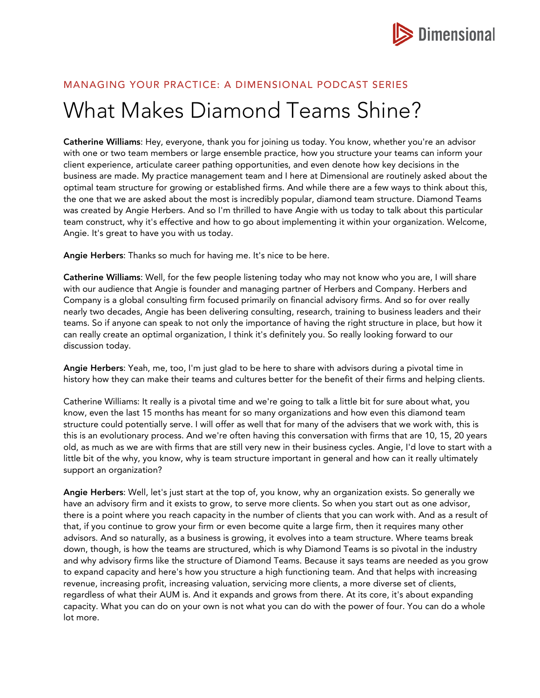

## MANAGING YOUR PRACTICE: A DIMENSIONAL PODCAST SERIES What Makes Diamond Teams Shine?

Catherine Williams: Hey, everyone, thank you for joining us today. You know, whether you're an advisor with one or two team members or large ensemble practice, how you structure your teams can inform your client experience, articulate career pathing opportunities, and even denote how key decisions in the business are made. My practice management team and I here at Dimensional are routinely asked about the optimal team structure for growing or established firms. And while there are a few ways to think about this, the one that we are asked about the most is incredibly popular, diamond team structure. Diamond Teams was created by Angie Herbers. And so I'm thrilled to have Angie with us today to talk about this particular team construct, why it's effective and how to go about implementing it within your organization. Welcome, Angie. It's great to have you with us today.

Angie Herbers: Thanks so much for having me. It's nice to be here.

Catherine Williams: Well, for the few people listening today who may not know who you are, I will share with our audience that Angie is founder and managing partner of Herbers and Company. Herbers and Company is a global consulting firm focused primarily on financial advisory firms. And so for over really nearly two decades, Angie has been delivering consulting, research, training to business leaders and their teams. So if anyone can speak to not only the importance of having the right structure in place, but how it can really create an optimal organization, I think it's definitely you. So really looking forward to our discussion today.

Angie Herbers: Yeah, me, too, I'm just glad to be here to share with advisors during a pivotal time in history how they can make their teams and cultures better for the benefit of their firms and helping clients.

Catherine Williams: It really is a pivotal time and we're going to talk a little bit for sure about what, you know, even the last 15 months has meant for so many organizations and how even this diamond team structure could potentially serve. I will offer as well that for many of the advisers that we work with, this is this is an evolutionary process. And we're often having this conversation with firms that are 10, 15, 20 years old, as much as we are with firms that are still very new in their business cycles. Angie, I'd love to start with a little bit of the why, you know, why is team structure important in general and how can it really ultimately support an organization?

Angie Herbers: Well, let's just start at the top of, you know, why an organization exists. So generally we have an advisory firm and it exists to grow, to serve more clients. So when you start out as one advisor, there is a point where you reach capacity in the number of clients that you can work with. And as a result of that, if you continue to grow your firm or even become quite a large firm, then it requires many other advisors. And so naturally, as a business is growing, it evolves into a team structure. Where teams break down, though, is how the teams are structured, which is why Diamond Teams is so pivotal in the industry and why advisory firms like the structure of Diamond Teams. Because it says teams are needed as you grow to expand capacity and here's how you structure a high functioning team. And that helps with increasing revenue, increasing profit, increasing valuation, servicing more clients, a more diverse set of clients, regardless of what their AUM is. And it expands and grows from there. At its core, it's about expanding capacity. What you can do on your own is not what you can do with the power of four. You can do a whole lot more.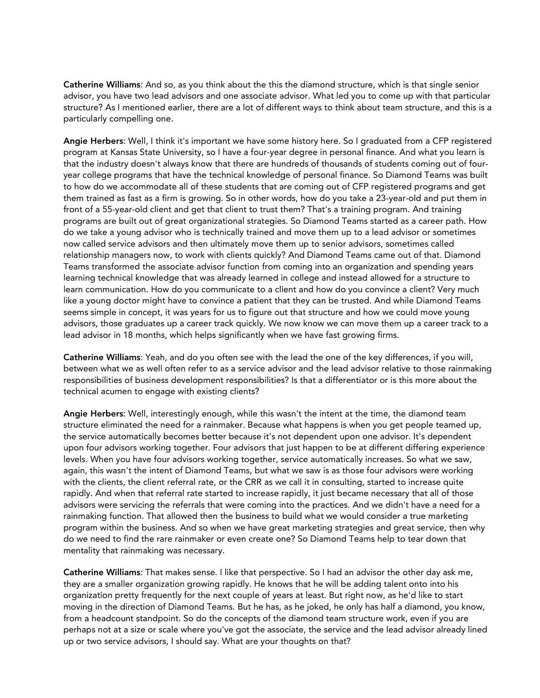Catherine Williams: And so, as you think about the this the diamond structure, which is that single senior advisor, you have two lead advisors and one associate advisor. What led you to come up with that particular structure? As I mentioned earlier, there are a lot of different ways to think about team structure, and this is a particularly compelling one.

Angie Herbers: Well, I think it's important we have some history here. So I graduated from a CFP registered program at Kansas State University, so I have a four-year degree in personal finance. And what you learn is that the industry doesn't always know that there are hundreds of thousands of students coming out of fouryear college programs that have the technical knowledge of personal finance. So Diamond Teams was built to how do we accommodate all of these students that are coming out of CFP registered programs and get them trained as fast as a firm is growing. So in other words, how do you take a 23-year-old and put them in front of a 55-year-old client and get that client to trust them? That's a training program. And training programs are built out of great organizational strategies. So Diamond Teams started as a career path. How do we take a young advisor who is technically trained and move them up to a lead advisor or sometimes now called service advisors and then ultimately move them up to senior advisors, sometimes called relationship managers now, to work with clients quickly? And Diamond Teams came out of that. Diamond Teams transformed the associate advisor function from coming into an organization and spending years learning technical knowledge that was already learned in college and instead allowed for a structure to learn communication. How do you communicate to a client and how do you convince a client? Very much like a young doctor might have to convince a patient that they can be trusted. And while Diamond Teams seems simple in concept, it was years for us to figure out that structure and how we could move young advisors, those graduates up a career track quickly. We now know we can move them up a career track to a lead advisor in 18 months, which helps significantly when we have fast growing firms.

Catherine Williams: Yeah, and do you often see with the lead the one of the key differences, if you will, between what we as well often refer to as a service advisor and the lead advisor relative to those rainmaking responsibilities of business development responsibilities? Is that a differentiator or is this more about the technical acumen to engage with existing clients?

Angie Herbers: Well, interestingly enough, while this wasn't the intent at the time, the diamond team structure eliminated the need for a rainmaker. Because what happens is when you get people teamed up, the service automatically becomes better because it's not dependent upon one advisor. It's dependent upon four advisors working together. Four advisors that just happen to be at different differing experience levels. When you have four advisors working together, service automatically increases. So what we saw, again, this wasn't the intent of Diamond Teams, but what we saw is as those four advisors were working with the clients, the client referral rate, or the CRR as we call it in consulting, started to increase quite rapidly. And when that referral rate started to increase rapidly, it just became necessary that all of those advisors were servicing the referrals that were coming into the practices. And we didn't have a need for a rainmaking function. That allowed then the business to build what we would consider a true marketing program within the business. And so when we have great marketing strategies and great service, then why do we need to find the rare rainmaker or even create one? So Diamond Teams help to tear down that mentality that rainmaking was necessary.

Catherine Williams: That makes sense. I like that perspective. So I had an advisor the other day ask me, they are a smaller organization growing rapidly. He knows that he will be adding talent onto into his organization pretty frequently for the next couple of years at least. But right now, as he'd like to start moving in the direction of Diamond Teams. But he has, as he joked, he only has half a diamond, you know, from a headcount standpoint. So do the concepts of the diamond team structure work, even if you are perhaps not at a size or scale where you've got the associate, the service and the lead advisor already lined up or two service advisors, I should say. What are your thoughts on that?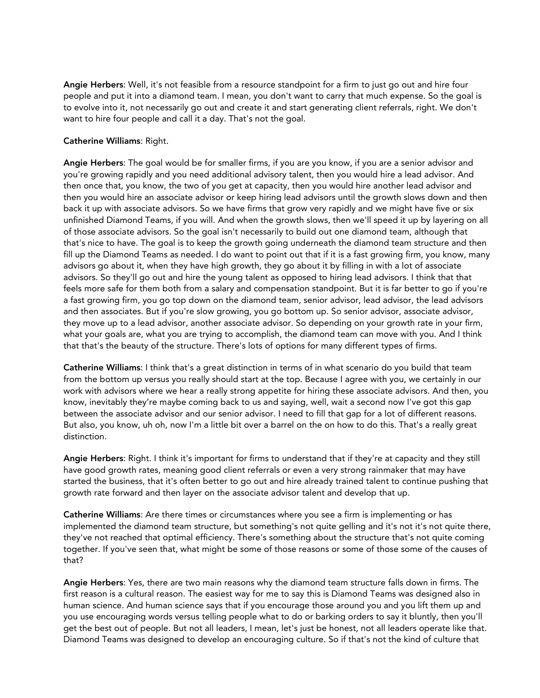Angie Herbers: Well, it's not feasible from a resource standpoint for a firm to just go out and hire four people and put it into a diamond team. I mean, you don't want to carry that much expense. So the goal is to evolve into it, not necessarily go out and create it and start generating client referrals, right. We don't want to hire four people and call it a day. That's not the goal.

## Catherine Williams: Right.

Angie Herbers: The goal would be for smaller firms, if you are you know, if you are a senior advisor and you're growing rapidly and you need additional advisory talent, then you would hire a lead advisor. And then once that, you know, the two of you get at capacity, then you would hire another lead advisor and then you would hire an associate advisor or keep hiring lead advisors until the growth slows down and then back it up with associate advisors. So we have firms that grow very rapidly and we might have five or six unfinished Diamond Teams, if you will. And when the growth slows, then we'll speed it up by layering on all of those associate advisors. So the goal isn't necessarily to build out one diamond team, although that that's nice to have. The goal is to keep the growth going underneath the diamond team structure and then fill up the Diamond Teams as needed. I do want to point out that if it is a fast growing firm, you know, many advisors go about it, when they have high growth, they go about it by filling in with a lot of associate advisors. So they'll go out and hire the young talent as opposed to hiring lead advisors. I think that that feels more safe for them both from a salary and compensation standpoint. But it is far better to go if you're a fast growing firm, you go top down on the diamond team, senior advisor, lead advisor, the lead advisors and then associates. But if you're slow growing, you go bottom up. So senior advisor, associate advisor, they move up to a lead advisor, another associate advisor. So depending on your growth rate in your firm, what your goals are, what you are trying to accomplish, the diamond team can move with you. And I think that that's the beauty of the structure. There's lots of options for many different types of firms.

Catherine Williams: I think that's a great distinction in terms of in what scenario do you build that team from the bottom up versus you really should start at the top. Because I agree with you, we certainly in our work with advisors where we hear a really strong appetite for hiring these associate advisors. And then, you know, inevitably they're maybe coming back to us and saying, well, wait a second now I've got this gap between the associate advisor and our senior advisor. I need to fill that gap for a lot of different reasons. But also, you know, uh oh, now I'm a little bit over a barrel on the on how to do this. That's a really great distinction.

Angie Herbers: Right. I think it's important for firms to understand that if they're at capacity and they still have good growth rates, meaning good client referrals or even a very strong rainmaker that may have started the business, that it's often better to go out and hire already trained talent to continue pushing that growth rate forward and then layer on the associate advisor talent and develop that up.

Catherine Williams: Are there times or circumstances where you see a firm is implementing or has implemented the diamond team structure, but something's not quite gelling and it's not it's not quite there, they've not reached that optimal efficiency. There's something about the structure that's not quite coming together. If you've seen that, what might be some of those reasons or some of those some of the causes of that?

Angie Herbers: Yes, there are two main reasons why the diamond team structure falls down in firms. The first reason is a cultural reason. The easiest way for me to say this is Diamond Teams was designed also in human science. And human science says that if you encourage those around you and you lift them up and you use encouraging words versus telling people what to do or barking orders to say it bluntly, then you'll get the best out of people. But not all leaders, I mean, let's just be honest, not all leaders operate like that. Diamond Teams was designed to develop an encouraging culture. So if that's not the kind of culture that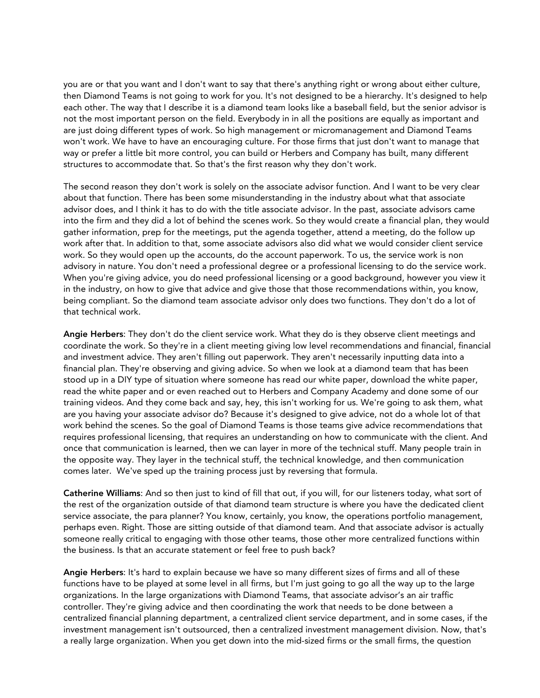you are or that you want and I don't want to say that there's anything right or wrong about either culture, then Diamond Teams is not going to work for you. It's not designed to be a hierarchy. It's designed to help each other. The way that I describe it is a diamond team looks like a baseball field, but the senior advisor is not the most important person on the field. Everybody in in all the positions are equally as important and are just doing different types of work. So high management or micromanagement and Diamond Teams won't work. We have to have an encouraging culture. For those firms that just don't want to manage that way or prefer a little bit more control, you can build or Herbers and Company has built, many different structures to accommodate that. So that's the first reason why they don't work.

The second reason they don't work is solely on the associate advisor function. And I want to be very clear about that function. There has been some misunderstanding in the industry about what that associate advisor does, and I think it has to do with the title associate advisor. In the past, associate advisors came into the firm and they did a lot of behind the scenes work. So they would create a financial plan, they would gather information, prep for the meetings, put the agenda together, attend a meeting, do the follow up work after that. In addition to that, some associate advisors also did what we would consider client service work. So they would open up the accounts, do the account paperwork. To us, the service work is non advisory in nature. You don't need a professional degree or a professional licensing to do the service work. When you're giving advice, you do need professional licensing or a good background, however you view it in the industry, on how to give that advice and give those that those recommendations within, you know, being compliant. So the diamond team associate advisor only does two functions. They don't do a lot of that technical work.

Angie Herbers: They don't do the client service work. What they do is they observe client meetings and coordinate the work. So they're in a client meeting giving low level recommendations and financial, financial and investment advice. They aren't filling out paperwork. They aren't necessarily inputting data into a financial plan. They're observing and giving advice. So when we look at a diamond team that has been stood up in a DIY type of situation where someone has read our white paper, download the white paper, read the white paper and or even reached out to Herbers and Company Academy and done some of our training videos. And they come back and say, hey, this isn't working for us. We're going to ask them, what are you having your associate advisor do? Because it's designed to give advice, not do a whole lot of that work behind the scenes. So the goal of Diamond Teams is those teams give advice recommendations that requires professional licensing, that requires an understanding on how to communicate with the client. And once that communication is learned, then we can layer in more of the technical stuff. Many people train in the opposite way. They layer in the technical stuff, the technical knowledge, and then communication comes later. We've sped up the training process just by reversing that formula.

Catherine Williams: And so then just to kind of fill that out, if you will, for our listeners today, what sort of the rest of the organization outside of that diamond team structure is where you have the dedicated client service associate, the para planner? You know, certainly, you know, the operations portfolio management, perhaps even. Right. Those are sitting outside of that diamond team. And that associate advisor is actually someone really critical to engaging with those other teams, those other more centralized functions within the business. Is that an accurate statement or feel free to push back?

Angie Herbers: It's hard to explain because we have so many different sizes of firms and all of these functions have to be played at some level in all firms, but I'm just going to go all the way up to the large organizations. In the large organizations with Diamond Teams, that associate advisor's an air traffic controller. They're giving advice and then coordinating the work that needs to be done between a centralized financial planning department, a centralized client service department, and in some cases, if the investment management isn't outsourced, then a centralized investment management division. Now, that's a really large organization. When you get down into the mid-sized firms or the small firms, the question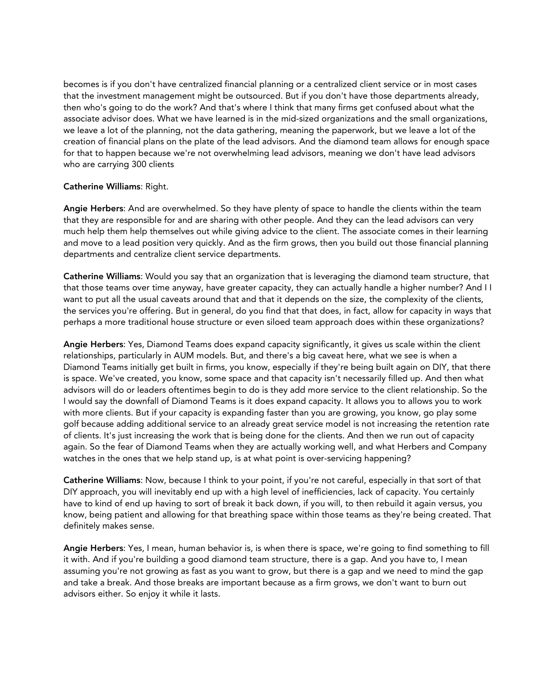becomes is if you don't have centralized financial planning or a centralized client service or in most cases that the investment management might be outsourced. But if you don't have those departments already, then who's going to do the work? And that's where I think that many firms get confused about what the associate advisor does. What we have learned is in the mid-sized organizations and the small organizations, we leave a lot of the planning, not the data gathering, meaning the paperwork, but we leave a lot of the creation of financial plans on the plate of the lead advisors. And the diamond team allows for enough space for that to happen because we're not overwhelming lead advisors, meaning we don't have lead advisors who are carrying 300 clients

## Catherine Williams: Right.

Angie Herbers: And are overwhelmed. So they have plenty of space to handle the clients within the team that they are responsible for and are sharing with other people. And they can the lead advisors can very much help them help themselves out while giving advice to the client. The associate comes in their learning and move to a lead position very quickly. And as the firm grows, then you build out those financial planning departments and centralize client service departments.

Catherine Williams: Would you say that an organization that is leveraging the diamond team structure, that that those teams over time anyway, have greater capacity, they can actually handle a higher number? And I I want to put all the usual caveats around that and that it depends on the size, the complexity of the clients, the services you're offering. But in general, do you find that that does, in fact, allow for capacity in ways that perhaps a more traditional house structure or even siloed team approach does within these organizations?

Angie Herbers: Yes, Diamond Teams does expand capacity significantly, it gives us scale within the client relationships, particularly in AUM models. But, and there's a big caveat here, what we see is when a Diamond Teams initially get built in firms, you know, especially if they're being built again on DIY, that there is space. We've created, you know, some space and that capacity isn't necessarily filled up. And then what advisors will do or leaders oftentimes begin to do is they add more service to the client relationship. So the I would say the downfall of Diamond Teams is it does expand capacity. It allows you to allows you to work with more clients. But if your capacity is expanding faster than you are growing, you know, go play some golf because adding additional service to an already great service model is not increasing the retention rate of clients. It's just increasing the work that is being done for the clients. And then we run out of capacity again. So the fear of Diamond Teams when they are actually working well, and what Herbers and Company watches in the ones that we help stand up, is at what point is over-servicing happening?

Catherine Williams: Now, because I think to your point, if you're not careful, especially in that sort of that DIY approach, you will inevitably end up with a high level of inefficiencies, lack of capacity. You certainly have to kind of end up having to sort of break it back down, if you will, to then rebuild it again versus, you know, being patient and allowing for that breathing space within those teams as they're being created. That definitely makes sense.

Angie Herbers: Yes, I mean, human behavior is, is when there is space, we're going to find something to fill it with. And if you're building a good diamond team structure, there is a gap. And you have to, I mean assuming you're not growing as fast as you want to grow, but there is a gap and we need to mind the gap and take a break. And those breaks are important because as a firm grows, we don't want to burn out advisors either. So enjoy it while it lasts.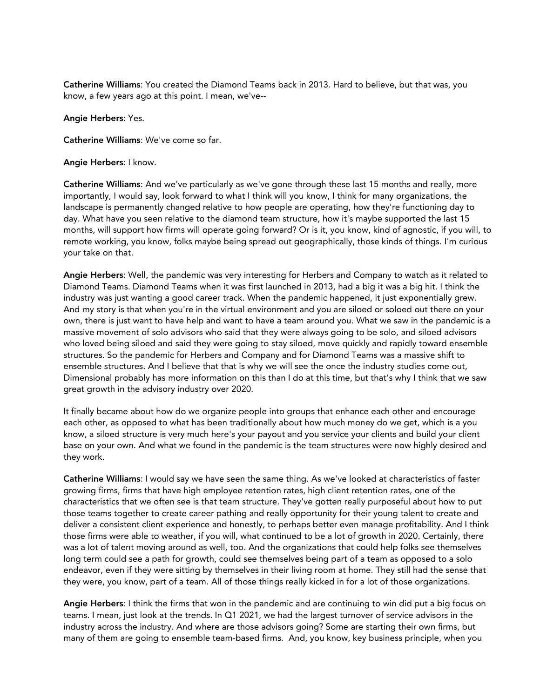Catherine Williams: You created the Diamond Teams back in 2013. Hard to believe, but that was, you know, a few years ago at this point. I mean, we've--

Angie Herbers: Yes.

Catherine Williams: We've come so far.

Angie Herbers: I know.

Catherine Williams: And we've particularly as we've gone through these last 15 months and really, more importantly, I would say, look forward to what I think will you know, I think for many organizations, the landscape is permanently changed relative to how people are operating, how they're functioning day to day. What have you seen relative to the diamond team structure, how it's maybe supported the last 15 months, will support how firms will operate going forward? Or is it, you know, kind of agnostic, if you will, to remote working, you know, folks maybe being spread out geographically, those kinds of things. I'm curious your take on that.

Angie Herbers: Well, the pandemic was very interesting for Herbers and Company to watch as it related to Diamond Teams. Diamond Teams when it was first launched in 2013, had a big it was a big hit. I think the industry was just wanting a good career track. When the pandemic happened, it just exponentially grew. And my story is that when you're in the virtual environment and you are siloed or soloed out there on your own, there is just want to have help and want to have a team around you. What we saw in the pandemic is a massive movement of solo advisors who said that they were always going to be solo, and siloed advisors who loved being siloed and said they were going to stay siloed, move quickly and rapidly toward ensemble structures. So the pandemic for Herbers and Company and for Diamond Teams was a massive shift to ensemble structures. And I believe that that is why we will see the once the industry studies come out, Dimensional probably has more information on this than I do at this time, but that's why I think that we saw great growth in the advisory industry over 2020.

It finally became about how do we organize people into groups that enhance each other and encourage each other, as opposed to what has been traditionally about how much money do we get, which is a you know, a siloed structure is very much here's your payout and you service your clients and build your client base on your own. And what we found in the pandemic is the team structures were now highly desired and they work.

Catherine Williams: I would say we have seen the same thing. As we've looked at characteristics of faster growing firms, firms that have high employee retention rates, high client retention rates, one of the characteristics that we often see is that team structure. They've gotten really purposeful about how to put those teams together to create career pathing and really opportunity for their young talent to create and deliver a consistent client experience and honestly, to perhaps better even manage profitability. And I think those firms were able to weather, if you will, what continued to be a lot of growth in 2020. Certainly, there was a lot of talent moving around as well, too. And the organizations that could help folks see themselves long term could see a path for growth, could see themselves being part of a team as opposed to a solo endeavor, even if they were sitting by themselves in their living room at home. They still had the sense that they were, you know, part of a team. All of those things really kicked in for a lot of those organizations.

Angie Herbers: I think the firms that won in the pandemic and are continuing to win did put a big focus on teams. I mean, just look at the trends. In Q1 2021, we had the largest turnover of service advisors in the industry across the industry. And where are those advisors going? Some are starting their own firms, but many of them are going to ensemble team-based firms. And, you know, key business principle, when you